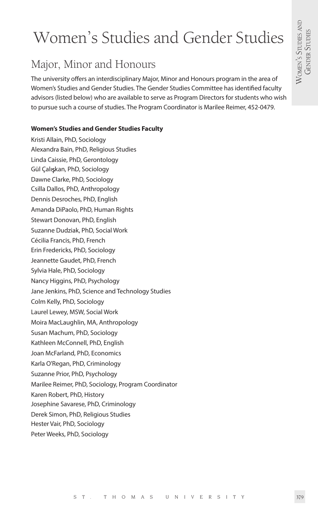# Women's Studies and Gender Studies

# Major, Minor and Honours

The university offers an interdisciplinary Major, Minor and Honours program in the area of Women's Studies and Gender Studies. The Gender Studies Committee has identified faculty advisors (listed below) who are available to serve as Program Directors for students who wish to pursue such a course of studies. The Program Coordinator is Marilee Reimer, 452-0479.

### **Women's Studies and Gender Studies Faculty**

Kristi Allain, PhD, Sociology Alexandra Bain, PhD, Religious Studies Linda Caissie, PhD, Gerontology Gül Çalışkan, PhD, Sociology Dawne Clarke, PhD, Sociology Csilla Dallos, PhD, Anthropology Dennis Desroches, PhD, English Amanda DiPaolo, PhD, Human Rights Stewart Donovan, PhD, English Suzanne Dudziak, PhD, Social Work Cécilia Francis, PhD, French Erin Fredericks, PhD, Sociology Jeannette Gaudet, PhD, French Sylvia Hale, PhD, Sociology Nancy Higgins, PhD, Psychology Jane Jenkins, PhD, Science and Technology Studies Colm Kelly, PhD, Sociology Laurel Lewey, MSW, Social Work Moira MacLaughlin, MA, Anthropology Susan Machum, PhD, Sociology Kathleen McConnell, PhD, English Joan McFarland, PhD, Economics Karla O'Regan, PhD, Criminology Suzanne Prior, PhD, Psychology Marilee Reimer, PhD, Sociology, Program Coordinator Karen Robert, PhD, History Josephine Savarese, PhD, Criminology Derek Simon, PhD, Religious Studies Hester Vair, PhD, Sociology Peter Weeks, PhD, Sociology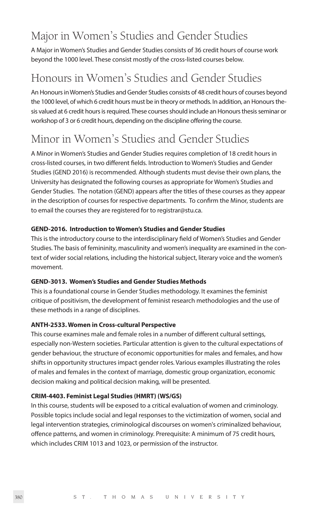# Major in Women's Studies and Gender Studies

A Major in Women's Studies and Gender Studies consists of 36 credit hours of course work beyond the 1000 level. These consist mostly of the cross-listed courses below.

# Honours in Women's Studies and Gender Studies

An Honours in Women's Studies and Gender Studies consists of 48 credit hours of courses beyond the 1000 level, of which 6 credit hours must be in theory or methods. In addition, an Honours thesis valued at 6 credit hours is required. These courses should include an Honours thesis seminar or workshop of 3 or 6 credit hours, depending on the discipline offering the course.

# Minor in Women's Studies and Gender Studies

A Minor in Women's Studies and Gender Studies requires completion of 18 credit hours in cross-listed courses, in two different fields. Introduction to Women's Studies and Gender Studies (GEND 2016) is recommended. Although students must devise their own plans, the University has designated the following courses as appropriate for Women's Studies and Gender Studies. The notation (GEND) appears after the titles of these courses as they appear in the description of courses for respective departments. To confirm the Minor, students are to email the courses they are registered for to registrar@stu.ca.

### **GEND-2016. Introduction to Women's Studies and Gender Studies**

This is the introductory course to the interdisciplinary field of Women's Studies and Gender Studies. The basis of femininity, masculinity and women's inequality are examined in the context of wider social relations, including the historical subject, literary voice and the women's movement.

### **GEND-3013. Women's Studies and Gender Studies Methods**

This is a foundational course in Gender Studies methodology. It examines the feminist critique of positivism, the development of feminist research methodologies and the use of these methods in a range of disciplines.

### **ANTH-2533. Women in Cross-cultural Perspective**

This course examines male and female roles in a number of different cultural settings, especially non-Western societies. Particular attention is given to the cultural expectations of gender behaviour, the structure of economic opportunities for males and females, and how shifts in opportunity structures impact gender roles. Various examples illustrating the roles of males and females in the context of marriage, domestic group organization, economic decision making and political decision making, will be presented.

### **CRIM-4403. Feminist Legal Studies (HMRT) (WS/GS)**

In this course, students will be exposed to a critical evaluation of women and criminology. Possible topics include social and legal responses to the victimization of women, social and legal intervention strategies, criminological discourses on women's criminalized behaviour, offence patterns, and women in criminology. Prerequisite: A minimum of 75 credit hours, which includes CRIM 1013 and 1023, or permission of the instructor.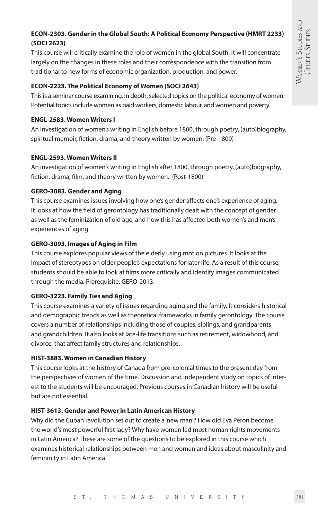# **ECON-2303. Gender in the Global South: A Political Economy Perspective (HMRT 2233) (SOCI 2623)**

This course will critically examine the role of women in the global South. It will concentrate largely on the changes in these roles and their correspondence with the transition from traditional to new forms of economic organization, production, and power.

# **ECON-2223. The Political Economy of Women (SOCI 2643)**

This is a seminar course examining, in depth, selected topics on the political economy of women. Potential topics include women as paid workers, domestic labour, and women and poverty.

# **ENGL-2583. Women Writers I**

An investigation of women's writing in English before 1800, through poetry, (auto)biography, spiritual memoir, fiction, drama, and theory written by women. (Pre-1800)

# **ENGL-2593. Women Writers II**

An investigation of women's writing in English after 1800, through poetry, (auto)biography, fiction, drama, film, and theory written by women. (Post-1800)

# **GERO-3083. Gender and Aging**

This course examines issues involving how one's gender affects one's experience of aging. It looks at how the field of gerontology has traditionally dealt with the concept of gender as well as the feminization of old age, and how this has affected both women's and men's experiences of aging.

# **GERO-3093. Images of Aging in Film**

This course explores popular views of the elderly using motion pictures. It looks at the impact of stereotypes on older people's expectations for later life. As a result of this course, students should be able to look at films more critically and identify images communicated through the media. Prerequisite: GERO-2013.

# **GERO-3223. Family Ties and Aging**

This course examines a variety of issues regarding aging and the family. It considers historical and demographic trends as well as theoretical frameworks in family gerontology. The course covers a number of relationships including those of couples, siblings, and grandparents and grandchildren. It also looks at late-life transitions such as retirement, widowhood, and divorce, that affect family structures and relationships.

# **HIST-3883. Women in Canadian History**

This course looks at the history of Canada from pre-colonial times to the present day from the perspectives of women of the time. Discussion and independent study on topics of interest to the students will be encouraged. Previous courses in Canadian history will be useful but are not essential.

### **HIST-3613. Gender and Power in Latin American History**

Why did the Cuban revolution set out to create a 'new man'? How did Eva Perón become the world's most powerful first lady? Why have women led most human rights movements in Latin America? These are some of the questions to be explored in this course which examines historical relationships between men and women and ideas about masculinity and femininity in Latin America.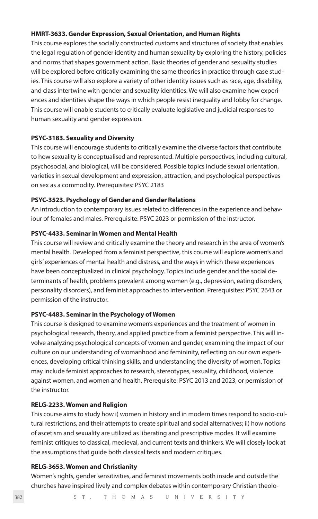#### **HMRT-3633. Gender Expression, Sexual Orientation, and Human Rights**

This course explores the socially constructed customs and structures of society that enables the legal regulation of gender identity and human sexuality by exploring the history, policies and norms that shapes government action. Basic theories of gender and sexuality studies will be explored before critically examining the same theories in practice through case studies. This course will also explore a variety of other identity issues such as race, age, disability, and class intertwine with gender and sexuality identities. We will also examine how experiences and identities shape the ways in which people resist inequality and lobby for change. This course will enable students to critically evaluate legislative and judicial responses to human sexuality and gender expression.

#### **PSYC-3183. Sexuality and Diversity**

This course will encourage students to critically examine the diverse factors that contribute to how sexuality is conceptualised and represented. Multiple perspectives, including cultural, psychosocial, and biological, will be considered. Possible topics include sexual orientation, varieties in sexual development and expression, attraction, and psychological perspectives on sex as a commodity. Prerequisites: PSYC 2183

#### **PSYC-3523. Psychology of Gender and Gender Relations**

An introduction to contemporary issues related to differences in the experience and behaviour of females and males. Prerequisite: PSYC 2023 or permission of the instructor.

#### **PSYC-4433. Seminar in Women and Mental Health**

This course will review and critically examine the theory and research in the area of women's mental health. Developed from a feminist perspective, this course will explore women's and girls' experiences of mental health and distress, and the ways in which these experiences have been conceptualized in clinical psychology. Topics include gender and the social determinants of health, problems prevalent among women (e.g., depression, eating disorders, personality disorders), and feminist approaches to intervention. Prerequisites: PSYC 2643 or permission of the instructor.

#### **PSYC-4483. Seminar in the Psychology of Women**

This course is designed to examine women's experiences and the treatment of women in psychological research, theory, and applied practice from a feminist perspective. This will involve analyzing psychological concepts of women and gender, examining the impact of our culture on our understanding of womanhood and femininity, reflecting on our own experiences, developing critical thinking skills, and understanding the diversity of women. Topics may include feminist approaches to research, stereotypes, sexuality, childhood, violence against women, and women and health. Prerequisite: PSYC 2013 and 2023, or permission of the instructor.

#### **RELG-2233. Women and Religion**

This course aims to study how i) women in history and in modern times respond to socio-cultural restrictions, and their attempts to create spiritual and social alternatives; ii) how notions of ascetism and sexuality are utilized as liberating and prescriptive modes. It will examine feminist critiques to classical, medieval, and current texts and thinkers. We will closely look at the assumptions that guide both classical texts and modern critiques.

#### **RELG-3653. Women and Christianity**

Women's rights, gender sensitivities, and feminist movements both inside and outside the churches have inspired lively and complex debates within contemporary Christian theolo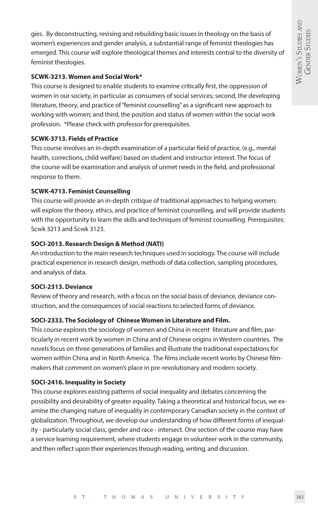gies. By deconstructing, revising and rebuilding basic issues in theology on the basis of women's experiences and gender analysis, a substantial range of feminist theologies has emerged. This course will explore theological themes and interests central to the diversity of feminist theologies.

#### **SCWK-3213. Women and Social Work\***

This course is designed to enable students to examine critically first, the oppression of women in our society, in particular as consumers of social services; second, the developing literature, theory, and practice of "feminist counselling" as a significant new approach to working with women; and third, the position and status of women within the social work profession. \*Please check with professor for prerequisites.

### **SCWK-3713. Fields of Practice**

This course involves an in-depth examination of a particular field of practice, (e.g., mental health, corrections, child welfare) based on student and instructor interest. The focus of the course will be examination and analysis of unmet needs in the field, and professional response to them.

#### **SCWK-4713. Feminist Counselling**

This course will provide an in-depth critique of traditional approaches to helping women; will explore the theory, ethics, and practice of feminist counselling, and will provide students with the opportunity to learn the skills and techniques of feminist counselling. Prerequisites: Scwk 3213 and Scwk 3123.

#### **SOCI-2013. Research Design & Method (NATI)**

An introduction to the main research techniques used in sociology. The course will include practical experience in research design, methods of data collection, sampling procedures, and analysis of data.

#### **SOCI-2313. Deviance**

Review of theory and research, with a focus on the social basis of deviance, deviance construction, and the consequences of social reactions to selected forms of deviance.

### **SOCI-2333. The Sociology of Chinese Women in Literature and Film.**

This course explores the sociology of women and China in recent literature and film, particularly in recent work by women in China and of Chinese origins in Western countries. The novels focus on three generations of families and illustrate the traditional expectations for women within China and in North America. The films include recent works by Chinese filmmakers that comment on women's place in pre-revolutionary and modern society.

### **SOCI-2416. Inequality in Society**

This course explores existing patterns of social inequality and debates concerning the possibility and desirability of greater equality. Taking a theoretical and historical focus, we examine the changing nature of inequality in contemporary Canadian society in the context of globalization. Throughout, we develop our understanding of how different forms of inequality - particularly social class, gender and race - intersect. One section of the course may have a service learning requirement, where students engage in volunteer work in the community, and then reflect upon their experiences through reading, writing, and discussion.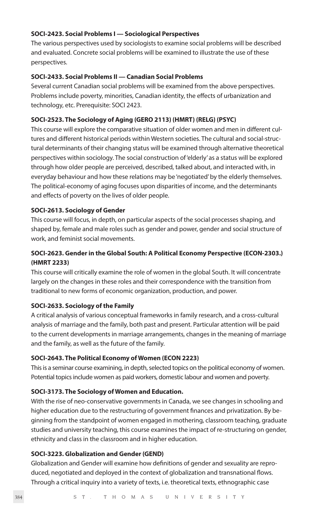#### **SOCI-2423. Social Problems I — Sociological Perspectives**

The various perspectives used by sociologists to examine social problems will be described and evaluated. Concrete social problems will be examined to illustrate the use of these perspectives.

#### **SOCI-2433. Social Problems II — Canadian Social Problems**

Several current Canadian social problems will be examined from the above perspectives. Problems include poverty, minorities, Canadian identity, the effects of urbanization and technology, etc. Prerequisite: SOCI 2423.

#### **SOCI-2523. The Sociology of Aging (GERO 2113) (HMRT) (RELG) (PSYC)**

This course will explore the comparative situation of older women and men in different cultures and different historical periods within Western societies. The cultural and social-structural determinants of their changing status will be examined through alternative theoretical perspectives within sociology. The social construction of 'elderly' as a status will be explored through how older people are perceived, described, talked about, and interacted with, in everyday behaviour and how these relations may be 'negotiated' by the elderly themselves. The political-economy of aging focuses upon disparities of income, and the determinants and effects of poverty on the lives of older people.

#### **SOCI-2613. Sociology of Gender**

This course will focus, in depth, on particular aspects of the social processes shaping, and shaped by, female and male roles such as gender and power, gender and social structure of work, and feminist social movements.

# **SOCI-2623. Gender in the Global South: A Political Economy Perspective (ECON-2303.) (HMRT 2233)**

This course will critically examine the role of women in the global South. It will concentrate largely on the changes in these roles and their correspondence with the transition from traditional to new forms of economic organization, production, and power.

#### **SOCI-2633. Sociology of the Family**

A critical analysis of various conceptual frameworks in family research, and a cross-cultural analysis of marriage and the family, both past and present. Particular attention will be paid to the current developments in marriage arrangements, changes in the meaning of marriage and the family, as well as the future of the family.

#### **SOCI-2643. The Political Economy of Women (ECON 2223)**

This is a seminar course examining, in depth, selected topics on the political economy of women. Potential topics include women as paid workers, domestic labour and women and poverty.

#### **SOCI-3173. The Sociology of Women and Education.**

With the rise of neo-conservative governments in Canada, we see changes in schooling and higher education due to the restructuring of government finances and privatization. By beginning from the standpoint of women engaged in mothering, classroom teaching, graduate studies and university teaching, this course examines the impact of re-structuring on gender, ethnicity and class in the classroom and in higher education.

#### **SOCI-3223. Globalization and Gender (GEND)**

Globalization and Gender will examine how definitions of gender and sexuality are reproduced, negotiated and deployed in the context of globalization and transnational flows. Through a critical inquiry into a variety of texts, i.e. theoretical texts, ethnographic case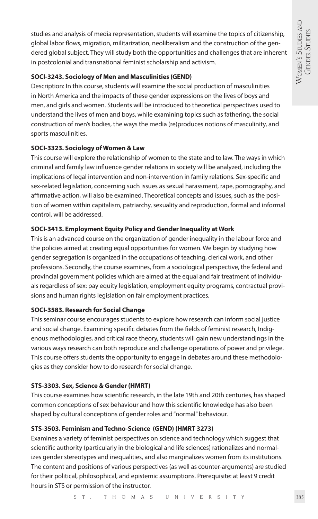studies and analysis of media representation, students will examine the topics of citizenship, global labor flows, migration, militarization, neoliberalism and the construction of the gendered global subject. They will study both the opportunities and challenges that are inherent in postcolonial and transnational feminist scholarship and activism.

### **SOCI-3243. Sociology of Men and Masculinities (GEND)**

Description: In this course, students will examine the social production of masculinities in North America and the impacts of these gender expressions on the lives of boys and men, and girls and women. Students will be introduced to theoretical perspectives used to understand the lives of men and boys, while examining topics such as fathering, the social construction of men's bodies, the ways the media (re)produces notions of masculinity, and sports masculinities.

### **SOCI-3323. Sociology of Women & Law**

This course will explore the relationship of women to the state and to law. The ways in which criminal and family law influence gender relations in society will be analyzed, including the implications of legal intervention and non-intervention in family relations. Sex-specific and sex-related legislation, concerning such issues as sexual harassment, rape, pornography, and affirmative action, will also be examined. Theoretical concepts and issues, such as the position of women within capitalism, patriarchy, sexuality and reproduction, formal and informal control, will be addressed.

### **SOCI-3413. Employment Equity Policy and Gender Inequality at Work**

This is an advanced course on the organization of gender inequality in the labour force and the policies aimed at creating equal opportunities for women. We begin by studying how gender segregation is organized in the occupations of teaching, clerical work, and other professions. Secondly, the course examines, from a sociological perspective, the federal and provincial government policies which are aimed at the equal and fair treatment of individuals regardless of sex: pay equity legislation, employment equity programs, contractual provisions and human rights legislation on fair employment practices.

### **SOCI-3583. Research for Social Change**

This seminar course encourages students to explore how research can inform social justice and social change. Examining specific debates from the fields of feminist research, Indigenous methodologies, and critical race theory, students will gain new understandings in the various ways research can both reproduce and challenge operations of power and privilege. This course offers students the opportunity to engage in debates around these methodologies as they consider how to do research for social change.

### **STS-3303. Sex, Science & Gender (HMRT)**

This course examines how scientific research, in the late 19th and 20th centuries, has shaped common conceptions of sex behaviour and how this scientific knowledge has also been shaped by cultural conceptions of gender roles and "normal" behaviour.

### **STS-3503. Feminism and Techno-Science (GEND) (HMRT 3273)**

Examines a variety of feminist perspectives on science and technology which suggest that scientific authority (particularly in the biological and life sciences) rationalizes and normalizes gender stereotypes and inequalities, and also marginalizes women from its institutions. The content and positions of various perspectives (as well as counter-arguments) are studied for their political, philosophical, and epistemic assumptions. Prerequisite: at least 9 credit hours in STS or permission of the instructor.